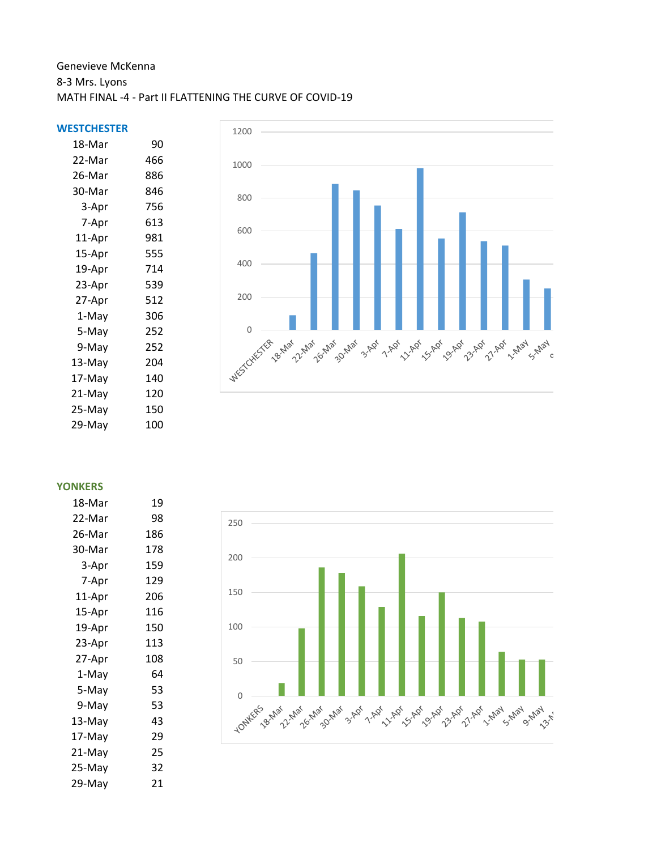## Genevieve McKenna 8-3 Mrs. Lyons MATH FINAL -4 - Part II FLATTENING THE CURVE OF COVID-19

## **WESTCHESTER**

| 18-Mar | 90  |
|--------|-----|
| 22-Mar | 466 |
| 26-Mar | 886 |
| 30-Mar | 846 |
| 3-Apr  | 756 |
| 7-Apr  | 613 |
| 11-Apr | 981 |
| 15-Apr | 555 |
| 19-Apr | 714 |
| 23-Apr | 539 |
| 27-Apr | 512 |
| 1-May  | 306 |
| 5-May  | 252 |
| 9-May  | 252 |
| 13-May | 204 |
| 17-May | 140 |
| 21-May | 120 |
| 25-May | 150 |
| 29-May | 100 |
|        |     |



**YONKERS**

| 18-Mar | 19  |
|--------|-----|
| 22-Mar | 98  |
| 26-Mar | 186 |
| 30-Mar | 178 |
| 3-Apr  | 159 |
| 7-Apr  | 129 |
| 11-Apr | 206 |
| 15-Apr | 116 |
| 19-Apr | 150 |
| 23-Apr | 113 |
| 27-Apr | 108 |
| 1-May  | 64  |
| 5-May  | 53  |
| 9-May  | 53  |
| 13-May | 43  |
| 17-May | 29  |
| 21-May | 25  |
| 25-May | 32  |
| 29-May | 21  |
|        |     |

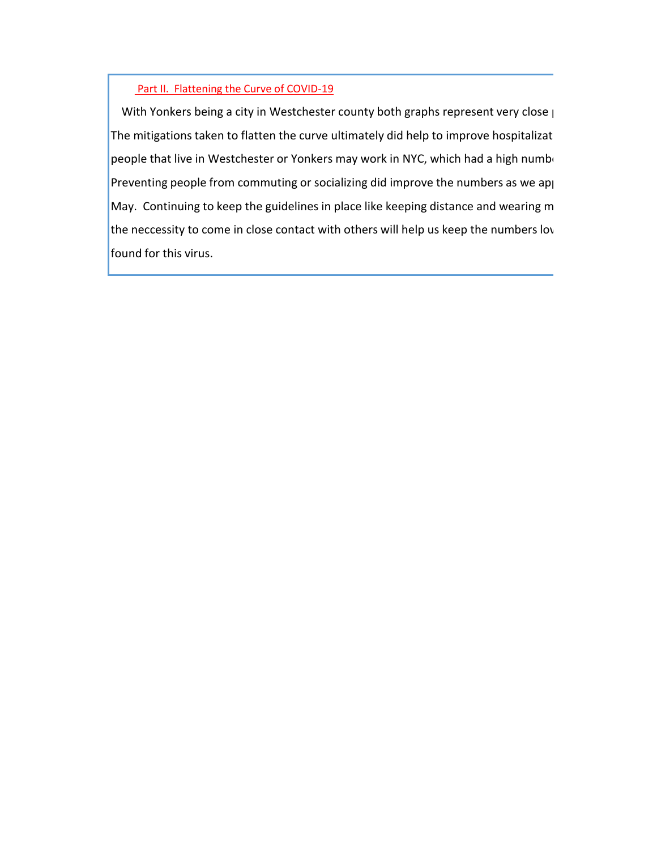## Part II. Flattening the Curve of COVID-19

With Yonkers being a city in Westchester county both graphs represent very close  $\mu$ The mitigations taken to flatten the curve ultimately did help to improve hospitalizat people that live in Westchester or Yonkers may work in NYC, which had a high number Preventing people from commuting or socializing did improve the numbers as we approached the end of May. Continuing to keep the guidelines in place like keeping distance and wearing m the neccessity to come in close contact with others will help us keep the numbers lov found for this virus.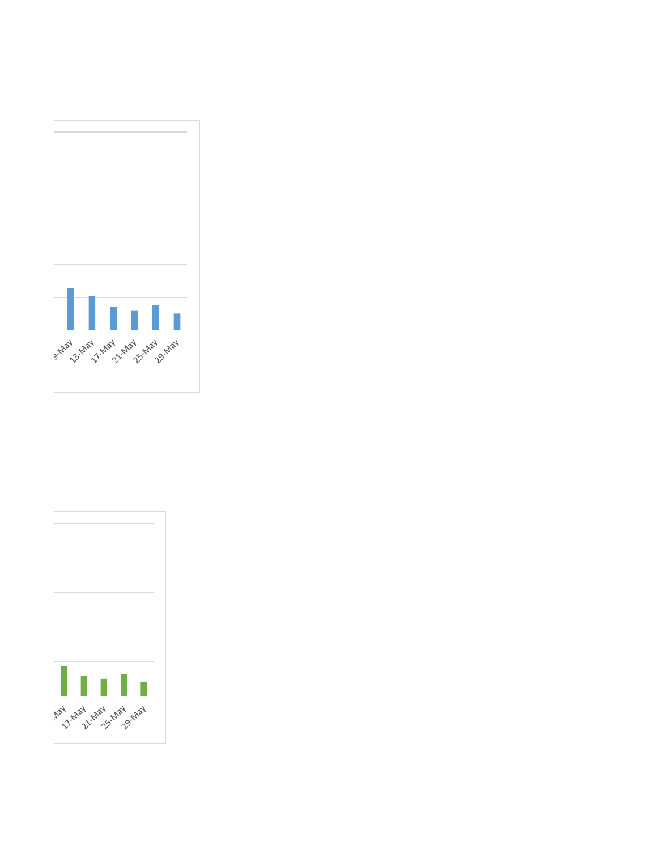